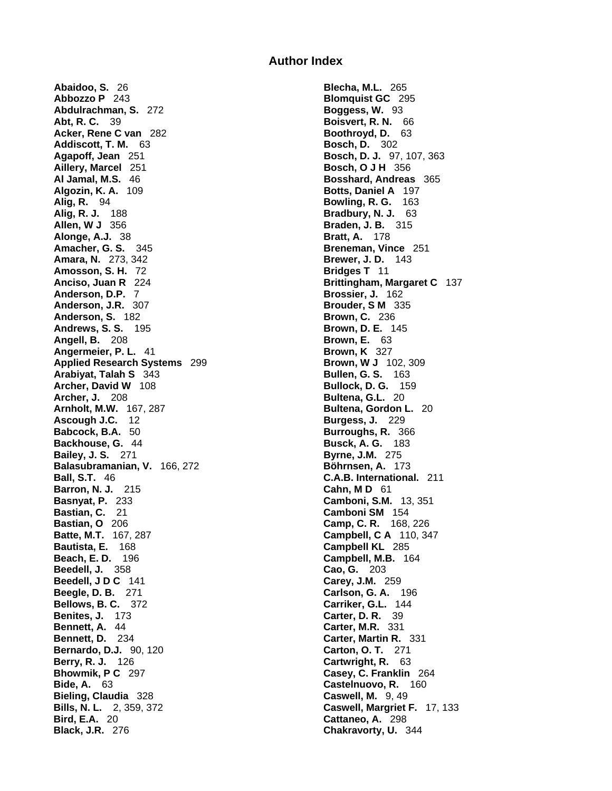## **Author Index**

**Abaidoo, S.** 26 **Blecha, M.L.** 265 **Abbozzo P** 243 **Blomquist GC** 295 **Abdulrachman, S.** 272 **Boggess, W.** 93 **Abt, R. C.** 39 **Boisvert, R. N.** 66 **Acker, Rene C van** 282 **Boothroyd, D.** 63 **Addiscott, T. M.** 63 **Bosch, D.** 302 **Agapoff, Jean** 251 **Bosch, D. J.** 97, 107, 363 **Aillery, Marcel** 251 **Bosch, O J H** 356 **Al Jamal, M.S.** 46 **Bosshard, Andreas** 365 **Algozin, K. A.** 109 **Bosshard, Andreas** 365 **Algozin, K. A.** 109 **Alig, R.** 94 **Bowling, R. G.** 163 **Alig, R. J.** 188 **Bradbury, N. J.** 63 **Allen, W J** 356 **Braden, J. B.** 315 **Alonge, A.J.** 38 **Bratt, A.** 178 **Amacher, G. S.** 345 **Breneman, Vince** 251 **Amara, N.** 273, 342 **Brewer, J. D.** 143 **Amosson, S. H.** 72 **Bridges T** 11 **Anciso, Juan R** 224 **Brittingham, Margaret C** 137 **Anderson, D.P.** 7 **Brossier, J. 162 Anderson, J.R.** 307 **Brouder, S M** 335 **Anderson, S.** 182 **Brown, C.** 236 **Andrews, S. S.** 195 **Brown, D. E.** 145 **Angell, B.** 208 **Brown, E.** 63 **Angermeier, P. L.** 41 **Brown, K** 327<br> **Applied Research Systems** 299 **Brown, W J** 102, 309 **Applied Research Systems** 299 **Brown, W J** 102, 3<br> **Arabivat. Talah S** 343 **Bullen, G. S.** 163 **Arabiyat, Talah S** 343 **Archer, David W** 108 **Bullock, D. G.** 159 **Archer, J.** 208 **Bultena, G.L.** 20 **Arnholt, M.W.** 167, 287 **Bultena, Gordon L.** 20 **Ascough J.C.** 12 **Burgess, J.** 229 **Babcock, B.A.** 50 **Burroughs, R.** 366 **Backhouse, G.** 44 **Busck, A. G.** 183 **Bailey, J. S.** 271 **Byrne, J.M.** 275 **Balasubramanian, V.** 166, 272 **Böhrnsen, A.** 173 **Ball, S.T.** 46 **C.A.B. International.** 211 **Barron, N. J.** 215 **Cahn, M D** 61 **Basnyat, P.** 233 **Camboni, S.M.** 13, 351 **Bastian, C.** 21 **Camboni SM** 154 **Bastian, O** 206 **Camp, C. R.** 168, 226 **Batte, M.T.** 167, 287 **Campbell, C A** 110, 347 **Bautista, E.** 168 **Campbell KL** 285 **Beedell, J.** 358 **Cao, G.** 203 **Beedell, J D C** 141 **Carey, J.M.** 259 **Beegle, D. B.** 271 **Carlson, G. A.** 196 **Bellows, B. C.** 372 **Carriker, G.L.** 144 **Benites, J.** 173 **Carter, D. R.** 39 **Bennett, A.** 44 **Carter, M.R.** 331 **Bennett, D.** 234 **Carter, Martin R.** 331 **Bernardo, D.J.** 90, 120 **Carton, O. T.** 271 **Berry, R. J.** 126 **Cartwright, R.** 63 **Bhowmik, P C** 297 **Casey, C. Franklin** 264 **Bide, A.** 63 **Castelnuovo, R.** 160 **Bieling, Claudia** 328 **Caswell, M.** 9, 49 **Bills, N. L.** 2, 359, 372 **Caswell, Margriet F.** 17, 133 **Bird, E.A.** 20 **Cattaneo, A.** 298 **Black, J.R.** 276 **Chakravorty, U.** 344

**Algozin, K. A.** 109 **Botts, Daniel A** 197 **Campbell, M.B.** 164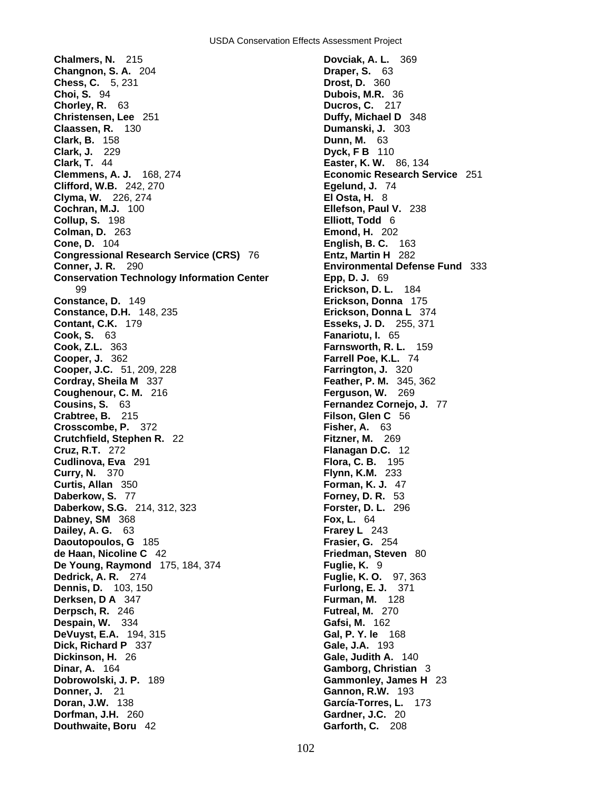**Chalmers, N.** 215 **Dovciak, A. L.** 369 **Changnon, S. A.** 204 **Draper, S.** 63 **Chess, C.** 5, 231 **Drost, D.** 360 **Choi, S.** 94 **Dubois, M.R.** 36 **Chorley, R.** 63 **Ducros, C.** 217 **Christensen, Lee** 251 **Duffy, Michael D** 348 **Claassen, R.** 130 **Dumanski, J.** 303 **Clark, B.** 158 **Dunn, M.** 63 **Clark, J.** 229 **Dyck, F B** 110 **Clemmens, A. J.** 168, 274 **Economic Research Service** 251 **Clifford, W.B.** 242, 270 **Egelund, J.** 74 **Clyma, W.** 226, 274 **El Osta, H.** 8 **Cochran, M.J.** 100 **Ellefson, Paul V.** 238 **Collup, S.** 198 **Elliott, Todd** 6 **Colman, D.** 263 **Emond, H.** 202 **Cone, D.** 104 **English, B. C.** 163<br>**Congressional Research Service (CRS)** 76 **Entz, Martin H** 282 **Congressional Research Service (CRS)** 76 **Conner, J. R.** 290 **Environmental Defense Fund** 333 **Conservation Technology Information Center Epp, D. J.** 69 99 **Erickson, D. L.** 184 **Constance, D.** 149 **Erickson, Donna** 175 **Constance, D.H.** 148, 235 **Erickson, Donna L** 374 **Contant, C.K.** 179 **Esseks, J. D.** 255, 371 **Cook, S.** 63 **Fanariotu, I.** 65 **Cook, Z.L.** 363 **Farnsworth, R. L.** 159 **Cooper, J.** 362 **Farrell Poe, K.L.** 74 **Cooper, J.C.** 51, 209, 228 **Farrington, J.** 320 **Cordray, Sheila M** 337 **Feather, P. M.** 345, 362 **Coughenour, C. M.** 216 **Ferguson, W.** 269 **Cousins, S.** 63 **Fernandez Cornejo, J.** 77 **Crabtree, B.** 215 **Filson, Glen C** 56 **Crosscombe, P.** 372 **Filson, Glen C** 56 **Crosscombe, P. 372 Crutchfield, Stephen R.** 22 **Fitzner, M.** 269 **Cruz, R.T.** 272 **Flanagan D.C.** 12 **Cudlinova, Eva** 291 **Flora, C. B.** 195 **Curry, N.** 370 **Flynn, K.M.** 233 **Curtis, Allan** 350 **Forman, K. J.** 47 **Daberkow, S.** 77 **Forney, D. R.** 53 **Daberkow, S.G.** 214, 312, 323 **Forster, D. L.** 296 **Dabney, SM** 368 **Fox, L.** 64 **Dailey, A. G.** 63 **Frarey L** 243 **Daoutopoulos, G** 185 **Frasier, G.** 254 **de Haan, Nicoline C** 42 **Friedman, Steven** 80 **De Young, Raymond** 175, 184, 374 **Fuglie, K.** 9 **Dedrick, A. R.** 274 **Fuglie, K. O.** 97, 363 **Dennis, D.** 103, 150 **Furlong, E. J.** 371 **Derksen, D A** 347 **Furman, M.** 128 **Derpsch, R.** 246 **Futreal, M.** 270 **Despain, W.** 334 **Gafsi, M.** 162 **DeVuyst, E.A.** 194, 315 **Gal, P. Y. le** 168 **Dick, Richard P** 337 **Gale, J.A.** 193 **Dickinson, H.** 26 **Gale, Judith A.** 140 **Dinar, A.** 164 **Gamborg, Christian** 3 **Dobrowolski, J. P.** 189 **Gammonley, James H** 23 **Donner, J.** 21 **Gannon, R.W.** 193 **Doran, J.W.** 138 **García-Torres, L.** 173 **Dorfman, J.H.** 260 **Gardner, J.C.** 20 **Douthwaite, Boru** 42 **Garforth, C. 208** 

**Clark, T.** 44 **Easter, K. W.** 86, 134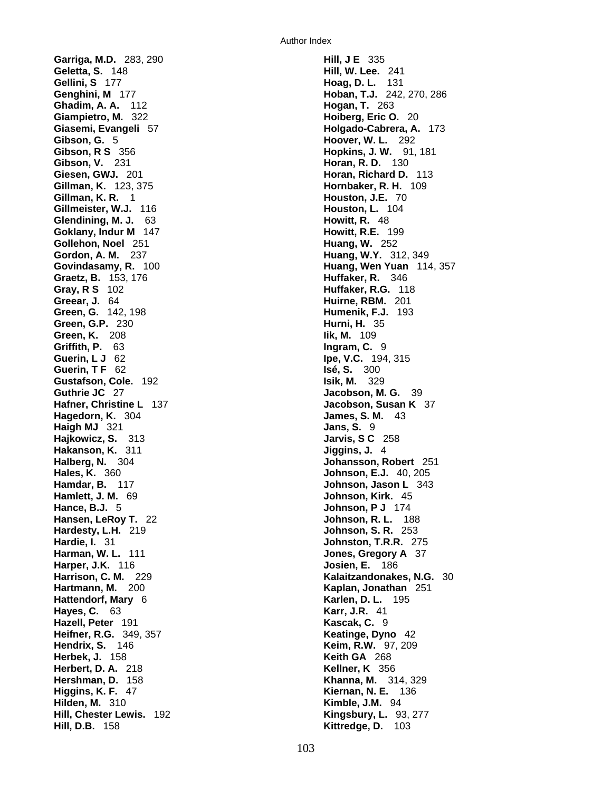**Garriga, M.D.** 283, 290 **Hill, J E** 335 **Geletta, S.** 148 **Hill, W. Lee.** 241 **Gellini, S** 177 **Hoag, D. L.** 131 **Genghini, M** 177 **Hoban, T.J.** 242, 270, 286 **Ghadim, A. A.** 112 **Hogan, T.** 263 **Giampietro, M.** 322 **Hoiberg, Eric O.** 20 **Giasemi, Evangeli** 57 **Holgado-Cabrera, A.** 173 **Gibson, G.** 5 **Hoover, W. L.** 292 **Gibson, R S** 356 **Hopkins, J. W.** 91, 181 **Gibson, V.** 231 **Horan, R. D.** 130 **Giesen, GWJ.** 201 **Horan, Richard D.** 113 **Gillman, K.** 123, 375 **Hornbaker, R. H.** 109 **Gillman, K. R.** 1 **Houston, J.E.** 70 **Gillmeister, W.J.** 116 **Houston, L.** 104 **Glendining, M. J.** 63 **Howitt, R.** 48 **Goklany, Indur M** 147 **Howitt, R.E.** 199 **Gollehon, Noel** 251 **Huang, W.** 252 **Gordon, A. M.** 237 **Huang, W.Y.** 312, 349 **Graetz, B.** 153, 176 **Huffaker, R.** 346 **Gray, R S** 102 **Huffaker, R.G.** 118 **Greear, J.** 64 **Huirne, RBM.** 201 **Green, G.** 142, 198 **Humenik, F.J.** 193 **Green, G.P.** 230 **Hurni, H.** 35 **Green, K.** 208 **Iik, M.** 109 **Griffith, P.** 63 **Ingram, C.** 9 **Guerin, L J** 62 **Ipe, V.C.** 194, 315 **Guerin, T F** 62 **Isé, S.** 300 **Gustafson, Cole.** 192 **Isik, M.** 329 **Guthrie JC** 27 **Jacobson, M. G.** 39 **Hafner, Christine L** 137 **Jacobson, Susan K** 37 **Hagedorn, K.** 304 **James, S. M.** 43 **Haigh MJ** 321 **Jans, S.** 9 **Hajkowicz, S.** 313 **Jarvis, S C** 258 **Hakanson, K.** 311 **Jiggins, J.** 4 **Halberg, N.** 304 **Johansson, Robert** 251 **Hales, K.** 360 **Johnson, E.J.** 40, 205 **Hamdar, B.** 117 **Johnson, Jason L** 343 **Hamlett, J. M.** 69 **Johnson, Kirk.** 45 **Hance, B.J.** 5 **Johnson, P J** 174 **Hansen, LeRoy T.** 22 **Johnson, R. L.** 188 **Hardesty, L.H.** 219 **Johnson, S. R.** 253 **Hardie, I.** 31 **Johnston, T.R.R.** 275 **Harman, W. L.** 111 **Jones, Gregory A** 37 **Harper, J.K.** 116 **Josien, E.** 186 **Hartmann, M.** 200 **Kaplan, Jonathan** 251 **Hattendorf, Mary** 6 **Karlen, D. L.** 195 **Hayes, C.** 63 **Karr, J.R.** 41 **Hazell, Peter** 191 **Kascak, C.** 9 **Heifner, R.G.** 349, 357 **Keatinge, Dyno** 42 **Hendrix, S.** 146 **Keim, R.W.** 97, 209 **Herbek, J.** 158 **Keith GA** 268 **Herbert, D. A.** 218 **Kellner, K** 356 **Hershman, D.** 158 **Khanna, M.** 314, 329 **Higgins, K. F.** 47 **Kiernan, N. E.** 136 **Hilden, M.** 310 **Kimble, J.M.** 94 **Hill, Chester Lewis.** 192 **Kingsbury, L.** 93, 277 **Hill, D.B.** 158 **Kittredge, D.** 103

**Govindasamy, R.** 100 **Huang, Wen Yuan** 114, 357 **Harrison, C. M.** 229 **Kalaitzandonakes, N.G.** 30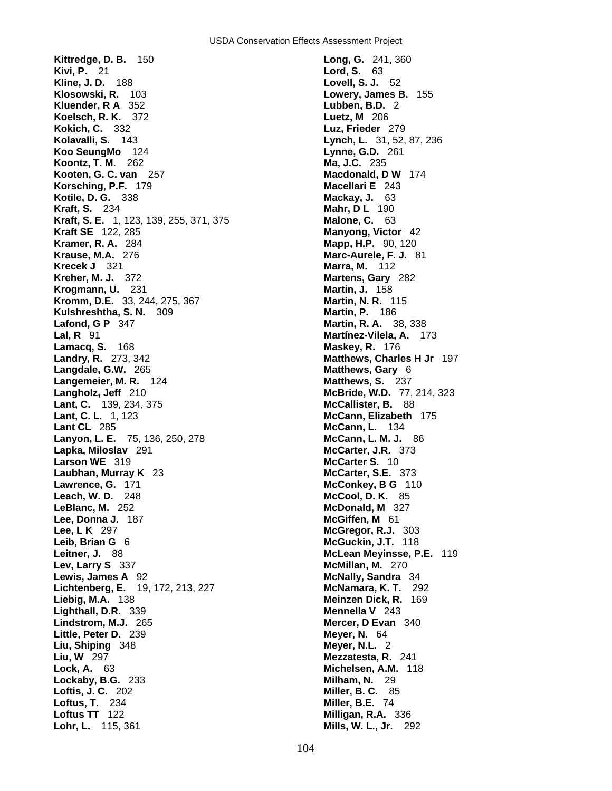**Kittredge, D. B.** 150 **Long, G.** 241, 360 **Kivi, P.** 21 **Lord, S.** 63 **Kline, J. D.** 188 **Lord, S. 1. 52 Kline, J. D.** 188 **Klosowski, R.** 103 **Lowery, James B.** 155 **Kluender, R A** 352 **Lubben, B.D.** 2 **Koelsch, R. K.** 372 **Luetz, M** 206 **Kokich, C.** 332 **Luz, Frieder** 279 **Kolavalli, S.** 143 **Lynch, L.** 31, 52, 87, 236 **Koo SeungMo** 124 **Lynne, G.D.** 261 **Koontz, T. M.** 262 **Ma, J.C.** 235 **Kooten, G. C. van** 257 **Macdonald, D W** 174 **Korsching, P.F.** 179 **Macellari E** 243 **Kotile, D. G.** 338 **Mackay, J.** 63 **Kraft, S.** 234 **Mahr, D L** 190 **Kraft, S. E.** 1, 123, 139, 255, 371, 375 **Malone, C.** 63 **Kraft SE** 122, 285 **Manyong, Victor** 42 **Kramer, R. A.** 284 **Mapp, H.P.** 90, 120 **Krause, M.A.** 276 **Marc-Aurele, F. J.** 81 **Krecek J** 321 **Marra, M.** 112 **Kreher, M. J.** 372 **Martens, Gary** 282 **Krogmann, U.** 231 **Martin, J.** 158 **Kromm, D.E.** 33, 244, 275, 367 **Martin, N. R.** 115 **Kulshreshtha, S. N.** 309 **Martin, P.** 186 **Lafond, G P** 347 **Martin, R. A.** 38, 338 **Lal, R** 91 **Martínez-Vilela, A.** 173 **Lamacq, S.** 168 **Maskey, R.** 176 **Landry, R.** 273, 342 **Matthews, Charles H Jr** 197 **Langdale, G.W.** 265 **Matthews, Gary** 6 **Langemeier, M. R.** 124 **Matthews, S. 237 Langholz, Jeff** 210 **McBride, W.D.** 77, 214, 323 **Lant, C.** 139, 234, 375 **McCallister, B.** 88 **Lant, C. L.** 1, 123 **McCann, Elizabeth** 175 **Lant CL** 285 **McCann, L.** 134 **Lanyon, L. E.** 75, 136, 250, 278 **McCann, L. M. J.** 86 **Lapka, Miloslav** 291 **McCarter, J.R.** 373 **Larson WE** 319 **McCarter S.** 10 **Laubhan, Murray K** 23 **McCarter, S.E.** 373 **Lawrence, G.** 171 **McConkey, B G** 110 **Leach, W. D.** 248 **McCool, D. K.** 85 **LeBlanc, M.** 252 **McDonald, M** 327 **Lee, Donna J.** 187 **McGiffen, M** 61 **Lee, L K** 297 **McGregor, R.J.** 303 **Leib, Brian G** 6 **McGuckin, J.T.** 118 **Leitner, J.** 88 **McLean Meyinsse, P.E.** 119 **Lev, Larry S** 337 **McMillan, M.** 270 **Lewis, James A** 92 **McNally, Sandra** 34 **Lichtenberg, E.** 19, 172, 213, 227 **McNamara, K. T.** 292 **Lighthall, D.R.** 339 **Mennella V** 243 **Lindstrom, M.J.** 265 **Mercer, D Evan** 340 **Little, Peter D.** 239 **Meyer, N.** 64 **Liu, Shiping** 348 **Meyer, N.L.** 2 **Liu, W** 297 **Mezzatesta, R.** 241 **Lock, A.** 63 **Michelsen, A.M.** 118 **Lockaby, B.G.** 233 **Milham, N.** 29 **Loftis, J. C.** 202 **Miller, B. C.** 85 **Loftus, T.** 234 **Miller, B.E.** 74 **Loftus TT** 122 **Milligan, R.A.** 336 **Lohr, L.** 115, 361 **Mills, W. L., Jr.** 292

**Liebig, M.A.** 138 **Meinzen Dick, R.** 169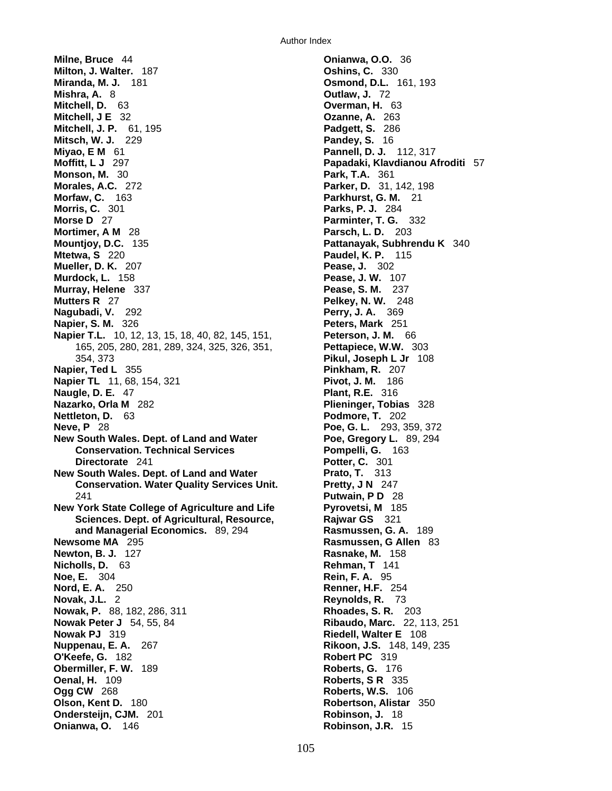**Milne, Bruce** 44 **Onianwa, O.O.** 36 **Milton, J. Walter.** 187 **Oshins, C.** 330 **Miranda, M. J.** 181 **Osmond, D.L.** 161, 193 **Mishra, A.** 8 **Outlaw, J.** 72 **Mitchell, D.** 63 **Overman, H.** 63 **Mitchell, J E** 32 **Ozanne, A.** 263 **Mitchell, J. P.** 61, 195 **Padgett, S.** 286 **Mitsch, W. J.** 229 **Pandey, S.** 16 **Miyao, E M** 61 **Pannell, D. J. Pannell, D. J. 112, 317 Moffitt, L J** 297 **Papadaki, Klavdianou Afroditi** 57 **Monson, M.** 30 **Park, T.A.** 361 **Morales, A.C.** 272 **Parker, D.** 31, 142, 198 **Morfaw, C.** 163 **Parkhurst, G. M.** 21 **Morris, C.** 301 **Parks, P. J.** 284 **Morse D** 27 **Parminter, T. G.** 332 **Mortimer, A M** 28 **Parsch, L. D.** 203 **Mountjoy, D.C.** 135 **Pattanayak, Subhrendu K** 340 **Mtetwa, S** 220 **Paudel, K. P.** 115 **Mueller, D. K.** 207 **Pease, J.** 302 **Murdock, L.** 158 **Pease, J. W.** 107 **Murray, Helene** 337 **Pease, S. M.** 237 **Mutters R** 27 **Pelkey, N. W.** 248 **Nagubadi, V.** 292 **Perry, J. A.** 369 **Napier, S. M.** 326 **Peters, Mark** 251 **Napier T.L.** 10, 12, 13, 15, 18, 40, 82, 145, 151, **Peterson, J. M.** 66 165, 205, 280, 281, 289, 324, 325, 326, 351, **Pettapiece, W.W.** 303 354, 373 **Pikul, Joseph L Jr** 108 **Napier, Ted L** 355 **Pinkham, R.** 207 **Napier TL** 11, 68, 154, 321 **Pivot, J. M.** 186 **Naugle, D. E.** 47 **Plant, R.E.** 316 **Nazarko, Orla M** 282 **Plieninger, Tobias** 328 **Nettleton, D.** 63 **Podmore, T.** 202 **Neve, P** 28 **Poe, G. L.** 293, 359, 372 **New South Wales. Dept. of Land and Water Poe, Gregory L. 89, 294 Conservation. Technical Services Pompelli, G. 163 Directorate** 241 **Potter, C.** 301 **New South Wales. Dept. of Land and Water Prato, T. 313 Conservation. Water Quality Services Unit. Pretty, J N** 247 241 **Putwain, P D** 28 **New York State College of Agriculture and Life Fyrovetsi, M** 185 **Sciences. Dept. of Agricultural, Resource, Rajwar GS** 321 **and Managerial Economics.** 89, 294 **Rasmussen, G. A.** 189 **Newsome MA** 295 **Rasmussen, G Allen** 83 **Newton, B. J.** 127 **Rasnake, M.** 158 **Nicholls, D.** 63 **Rehman, T** 141 **Noe, E.** 304 **Rein, F. A.** 95 **Nord, E. A.** 250 **Renner, H.F.** 254 **Novak, J.L.** 2 **Reynolds, R.** 73 **Nowak, P.** 88, 182, 286, 311 **Rhoades, S. R.** 203 **Nowak Peter J** 54, 55, 84 **Ribaudo, Marc.** 22, 113, 251 **Nowak PJ** 319 **Riedell, Walter E** 108 **Nuppenau, E. A.** 267 **Rikoon, J.S.** 148, 149, 235 **O'Keefe, G.** 182 **Robert PC** 319 **Obermiller, F. W.** 189 **Roberts, G.** 176 **Oenal, H.** 109 **Roberts, S R** 335 **Ogg CW** 268 **Roberts, W.S.** 106 **Olson, Kent D.** 180 **Robertson, Alistar** 350 **Ondersteijn, CJM.** 201 **Robinson, J.** 18 **Onianwa, O.** 146 **Robinson, J.R.** 15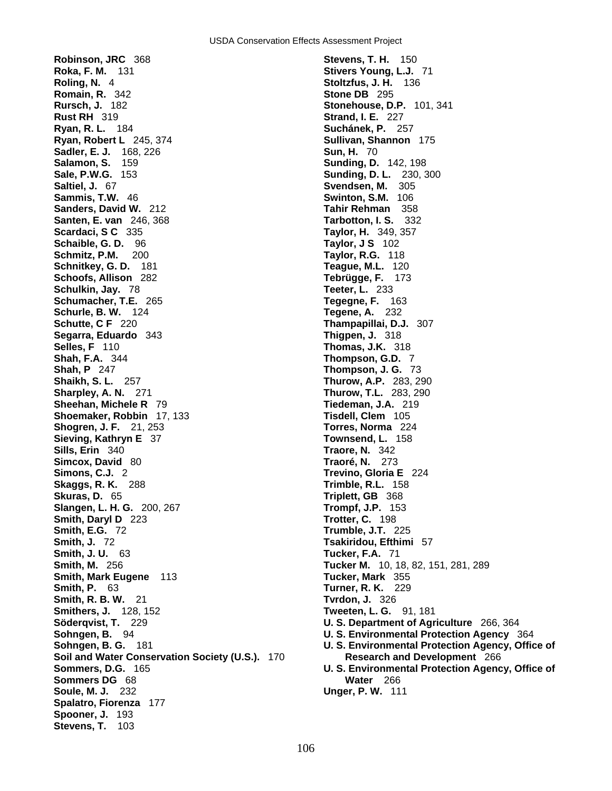**Robinson, JRC** 368 **Stevens, T. H.** 150 **Roka, F. M.** 131 **Stivers Young, L.J.** 71 **Roling, N.** 4 **Stoltzfus, J. H.** 136 **Romain, R.** 342 **Stone DB** 295 **Rursch, J.** 182 **Stonehouse, D.P.** 101, 341 **Rust RH** 319 **Strand, I. E.** 227 **Ryan, R. L.** 184 **Suchánek, P.** 257 **Ryan, Robert L** 245, 374 **Sullivan, Shannon** 175 **Sadler, E. J.** 168, 226 **Sun, H. 70 Sun, H. 70 Sun, H. 70 Sun, H. 70 Sunding, D. Sale, P.W.G.** 153 **Sunding, D. L.** 230, 300 **Saltiel, J.** 67 **Svendsen, M.** 305 **Sammis, T.W.** 46 **Swinton, S.M.** 106 **Sanders, David W.** 212 **Tahir Rehman** 358 **Santen, E. van** 246, 368 **Tarbotton, I. S.** 332 **Scardaci, S C** 335 **Taylor, H.** 349, 357 **Schaible, G. D.** 96 **Taylor, J S** 102 **Schmitz, P.M.** 200 **Taylor, R.G.** 118 **Schnitkey, G. D.** 181 **Teague, M.L.** 120 **Schoofs, Allison** 282 **Tebrügge, F.** 173 **Schulkin, Jay.** 78 **Teeter, L.** 233 **Schumacher, T.E.** 265 **Tegegne, F.** 163 **Schurle, B. W.** 124 **Tegene, A.** 232 **Schutte, C F** 220 **Thampapillai, D.J.** 307 **Segarra, Eduardo** 343 **Thigpen, J.** 318 **Selles, F** 110 **Thomas, J.K.** 318 **Shah, F.A.** 344 **Thompson, G.D.** 7 **Shaikh, S. L.** 257 **Thurow, A.P.** 283, 290 **Sharpley, A. N.** 271 **Thurow, T.L.** 283, 290 **Sheehan, Michele R** 79 **Tiedeman, J.A.** 219 **Shoemaker, Robbin** 17, 133 **Tisdell, Clem** 105 **Shogren, J. F.** 21, 253 **Torres, Norma** 224 **Sieving, Kathryn E** 37 **Townsend, L.** 158 **Sills, Erin** 340 **Traore, N.** 342 **Simcox, David** 80 **Traoré, N.** 273 **Simons, C.J.** 2 **Trevino, Gloria E** 224 **Skaggs, R. K.** 288 **Trimble, R.L.** 158 **Skuras, D.** 65 **Triplett, GB** 368 **Slangen, L. H. G.** 200, 267 **Trompf, J.P.** 153 **Smith, Daryl D** 223 **Trotter, C.** 198 **Smith, E.G.** 72 **Trumble, J.T.** 225 **Smith, J.** 72 **Tsakiridou, Efthimi** 57 **Smith, J. U.** 63 **Tucker, F.A.** 71 **Smith, M.** 256 **Tucker M.** 10, 18, 82, 151, 281, 289 **Smith, Mark Eugene** 113 **Tucker, Mark** 355 **Smith, P.** 63 **Turner, R. K.** 229 **Smith, R. B. W.** 21 **Tvrdon, J.** 326 **Smithers, J.** 128, 152 **Tweeten, L. G.** 91, 181 **Söderqvist, T.** 229 **U. S. Department of Agriculture** 266, 364 **Soil and Water Conservation Society (U.S.).** 170 **Research and Development** 266 **Sommers DG** 68 **Water** 266 **Soule, M. J.** 232 **Unger, P. W.** 111 **Spalatro, Fiorenza** 177 **Spooner, J.** 193 **Stevens, T.** 103

**Sunding, D. 142, 198 Thompson, J. G. 73 Sohngen, B.** 94 **U. S. Environmental Protection Agency** 364 **Sohngen, B. G.** 181 **U. S. Environmental Protection Agency, Office of Sommers, D.G.** 165 **U. S. Environmental Protection Agency, Office of**